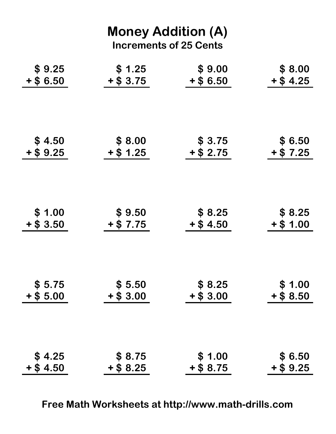| <b>Money Addition (A)</b><br><b>Increments of 25 Cents</b> |             |             |             |  |
|------------------------------------------------------------|-------------|-------------|-------------|--|
| \$9.25                                                     | \$1.25      | \$9.00      | \$8.00      |  |
| $+$ \$6.50                                                 | $+$ \$ 3.75 | $+$ \$ 6.50 | $+$ \$ 4.25 |  |
| \$4.50                                                     | \$8.00      | \$3.75      | \$ 6.50     |  |
| $+$ \$ 9.25                                                | $+$ \$ 1.25 | $+$ \$ 2.75 | $+$ \$ 7.25 |  |
| \$1.00                                                     | \$9.50      | \$8.25      | \$8.25      |  |
| $+$ \$ 3.50                                                | $+$ \$ 7.75 | $+$ \$ 4.50 | $+$ \$ 1.00 |  |
| \$5.75                                                     | \$5.50      | \$8.25      | \$1.00      |  |
| $+$ \$ 5.00                                                | $+ $3.00$   | $+$ \$ 3.00 | $+$ \$ 8.50 |  |
| \$4.25                                                     | \$8.75      | \$1.00      | \$6.50      |  |
| $+$ \$4.50                                                 | $+$ \$ 8.25 | $+$ \$ 8.75 | $+$ \$ 9.25 |  |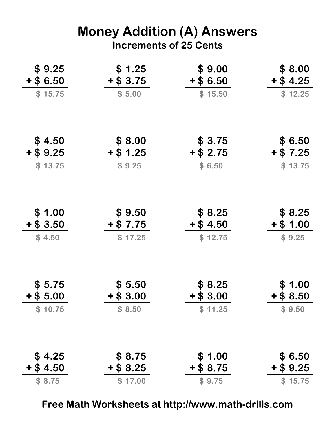## Money Addition (A) Answers Increments of 25 Cents

| \$9.25<br>$+$ \$6.50<br>\$15.75 | \$1.25<br>$+$ \$ 3.75<br>\$5.00 | \$9.00<br>$+$ \$6.50<br>\$15.50 | \$8.00<br>$+$ \$ 4.25<br>\$12.25 |
|---------------------------------|---------------------------------|---------------------------------|----------------------------------|
|                                 |                                 |                                 |                                  |
| \$4.50<br>$+ $9.25$             | \$8.00<br>$+$ \$ 1.25           | \$3.75<br>$+$ \$ 2.75           | \$ 6.50<br>$+$ \$ 7.25           |
| \$13.75                         | \$9.25                          | \$6.50                          | \$13.75                          |
|                                 |                                 |                                 |                                  |
| \$1.00<br>$+$ \$ 3.50           | \$9.50<br>$+$ \$ 7.75           | \$8.25<br>$+$ \$ 4.50           | \$8.25<br>$+$ \$ 1.00            |
| \$4.50                          | \$17.25                         | \$12.75                         | \$9.25                           |
| \$5.75<br>$+$ \$ 5.00           | \$5.50<br>$+$ \$ 3.00           | \$ 8.25<br>$+$ \$ 3.00          | \$1.00<br>$+$ \$ 8.50            |
| \$10.75                         | \$8.50                          | \$11.25                         | \$9.50                           |
| \$4.25                          | \$8.75                          | \$1.00                          | \$6.50                           |
| $+$ \$ 4.50                     | $+$ \$ 8.25                     | $+$ \$ 8.75                     | $+$ \$ 9.25                      |
| \$8.75                          | \$17.00                         | \$9.75                          | \$15.75                          |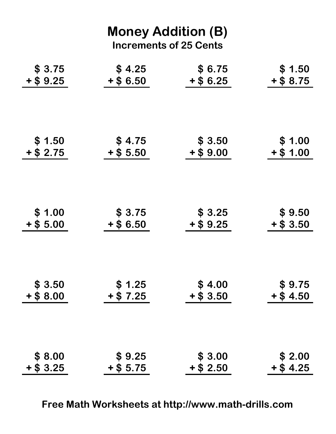| <b>Money Addition (B)</b><br><b>Increments of 25 Cents</b> |             |             |             |  |  |  |  |  |
|------------------------------------------------------------|-------------|-------------|-------------|--|--|--|--|--|
| \$3.75                                                     | \$4.25      | \$6.75      | \$1.50      |  |  |  |  |  |
| $+$ \$ 9.25                                                | $+$ \$6.50  | $+$ \$ 6.25 | $+$ \$ 8.75 |  |  |  |  |  |
| \$1.50                                                     | \$4.75      | \$3.50      | \$1.00      |  |  |  |  |  |
| $+ $ 2.75$                                                 | $+$ \$ 5.50 | $+$ \$9.00  | $+$ \$ 1.00 |  |  |  |  |  |
| \$1.00                                                     | \$3.75      | \$3.25      | \$9.50      |  |  |  |  |  |
| $+$ \$ 5.00                                                | $+$ \$ 6.50 | $+$ \$ 9.25 | $+$ \$ 3.50 |  |  |  |  |  |
| \$3.50                                                     | \$1.25      | \$4.00      | \$9.75      |  |  |  |  |  |
| $+$ \$ 8.00                                                | $+ $7.25$   | $+$ \$ 3.50 | $+$ \$4.50  |  |  |  |  |  |
| \$8.00                                                     | \$9.25      | \$3.00      | \$2.00      |  |  |  |  |  |
| $+$ \$ 3.25                                                | $+$ \$ 5.75 | $+$ \$ 2.50 | $+$ \$4.25  |  |  |  |  |  |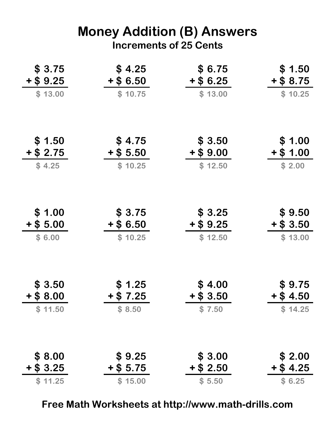#### Money Addition (B) Answers Increments of 25 Cents

| \$3.75<br>$+ $9.25$   | \$4.25<br>$+$ \$6.50 | \$6.75<br>$+$ \$ 6.25 | \$1.50<br>$+ $8.75$   |
|-----------------------|----------------------|-----------------------|-----------------------|
| \$13.00               | \$10.75              | \$13.00               | \$10.25               |
| \$1.50                | \$4.75               | \$3.50                | \$1.00                |
| $+$ \$ 2.75           | $+$ \$ 5.50          | $+$ \$9.00            | $+ $1.00$             |
| \$4.25                | \$10.25              | \$12.50               | \$2.00                |
| \$1.00<br>$+$ \$ 5.00 | \$3.75<br>$+$ \$6.50 | \$3.25<br>$+$ \$ 9.25 | \$9.50<br>$+$ \$ 3.50 |
| \$6.00                | \$10.25              | \$12.50               | \$13.00               |
| \$3.50                | \$1.25               | \$4.00                | \$9.75                |
| $+$ \$ 8.00           | $+$ \$ 7.25          | $+$ \$ 3.50           | $+$ \$ 4.50           |
| \$11.50               | \$8.50               | \$7.50                | \$14.25               |
| \$8.00                | \$9.25               | \$3.00                | \$2.00                |
| $+$ \$ 3.25           | $+$ \$ 5.75          | $+$ \$ 2.50           | $+$ \$ 4.25           |
| \$11.25               | \$15.00              | \$5.50                | \$6.25                |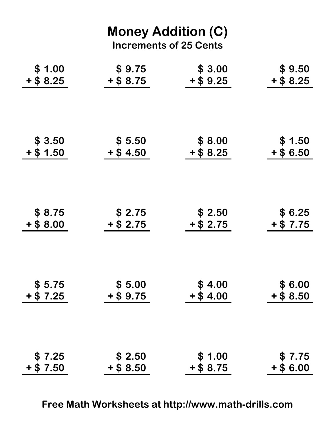| <b>Money Addition (C)</b><br><b>Increments of 25 Cents</b> |             |             |             |  |
|------------------------------------------------------------|-------------|-------------|-------------|--|
| \$1.00                                                     | \$9.75      | \$3.00      | \$9.50      |  |
| $+$ \$ 8.25                                                | $+$ \$ 8.75 | $+$ \$ 9.25 | $+$ \$ 8.25 |  |
| \$3.50                                                     | \$5.50      | \$8.00      | \$1.50      |  |
| $+$ \$ 1.50                                                | $+$ \$ 4.50 | $+$ \$ 8.25 | $+$ \$6.50  |  |
| \$8.75                                                     | \$2.75      | \$2.50      | \$6.25      |  |
| $+$ \$ 8.00                                                | $+$ \$ 2.75 | $+$ \$ 2.75 | $+ $7.75$   |  |
| \$5.75                                                     | \$5.00      | \$4.00      | \$6.00      |  |
| $+ $7.25$                                                  | $+ $9.75$   | $+$ \$4.00  | $+$ \$ 8.50 |  |
| \$7.25                                                     | \$2.50      | \$1.00      | \$7.75      |  |
| $+ $7.50$                                                  | $+$ \$ 8.50 | $+ $8.75$   | $+$ \$6.00  |  |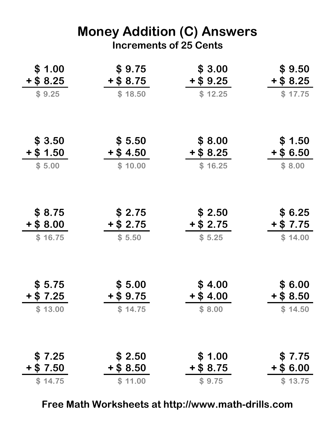## Money Addition (C) Answers Increments of 25 Cents

| \$1.00<br>$+$ \$ 8.25 | \$9.75<br>$+$ \$ 8.75 | \$3.00<br>$+$ \$ 9.25 | \$9.50<br>$+$ \$ 8.25 |
|-----------------------|-----------------------|-----------------------|-----------------------|
| \$9.25                | \$18.50               | \$12.25               | \$17.75               |
| \$3.50                | \$5.50                | \$8.00                | \$1.50                |
| $+ $ 1.50$            | $+$ \$ 4.50           | $+$ \$ 8.25           | $+$ \$6.50            |
| \$5.00                | \$10.00               | \$16.25               | \$8.00                |
| \$8.75                | \$2.75                | \$2.50                | \$6.25                |
| $+$ \$ 8.00           | $+$ \$ 2.75           | $+$ \$ 2.75           | $+$ \$ 7.75           |
| \$16.75               | \$5.50                | \$5.25                | \$14.00               |
| \$5.75                | \$5.00                | \$4.00                | \$ 6.00               |
| $+$ \$ 7.25           | $+$ \$ 9.75           | $+$ \$ 4.00           | $+$ \$ 8.50           |
| \$13.00               | \$14.75               | \$8.00                | \$14.50               |
| \$7.25                | \$2.50                | \$1.00                | \$7.75                |
| $+$ \$ 7.50           | $+$ \$ 8.50           | $+$ \$ 8.75           | $+$ \$ 6.00           |
| \$14.75               | \$11.00               | \$9.75                | \$13.75               |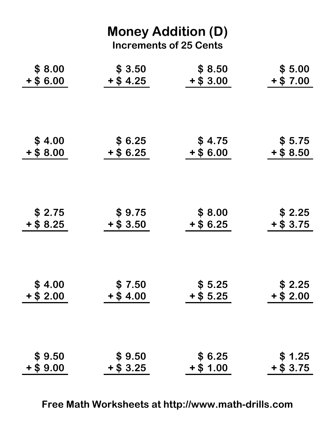| <b>Money Addition (D)</b><br><b>Increments of 25 Cents</b> |             |             |             |  |
|------------------------------------------------------------|-------------|-------------|-------------|--|
| \$8.00                                                     | \$3.50      | \$8.50      | \$5.00      |  |
| $+$ \$6.00                                                 | $+$ \$ 4.25 | $+$ \$ 3.00 | $+$ \$ 7.00 |  |
| \$4.00                                                     | \$6.25      | \$4.75      | \$5.75      |  |
| $+$ \$ 8.00                                                | $+$ \$ 6.25 | $+$ \$6.00  | $+$ \$ 8.50 |  |
| \$2.75                                                     | \$9.75      | \$8.00      | \$2.25      |  |
| $+$ \$ 8.25                                                | $+$ \$ 3.50 | $+$ \$6.25  | $+$ \$ 3.75 |  |
| \$4.00                                                     | \$7.50      | \$5.25      | \$2.25      |  |
| $+$ \$ 2.00                                                | $+$ \$4.00  | $+$ \$ 5.25 | $+ $2.00$   |  |
| \$9.50                                                     | \$9.50      | \$6.25      | \$1.25      |  |
| $+$ \$9.00                                                 | $+$ \$ 3.25 | $+ $ 1.00$  | $+ $3.75$   |  |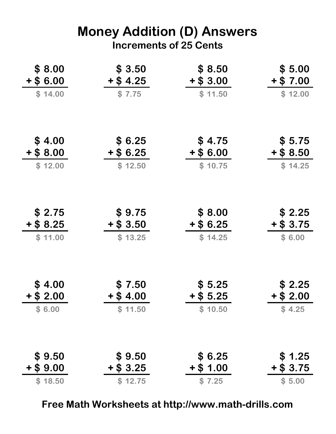## Money Addition (D) Answers Increments of 25 Cents

| \$8.00      | \$3.50      | \$ 8.50     | \$5.00      |
|-------------|-------------|-------------|-------------|
| $+$ \$6.00  | $+$ \$ 4.25 | $+$ \$ 3.00 | $+ $7.00$   |
| \$14.00     | \$7.75      | \$11.50     | \$12.00     |
| \$4.00      | \$6.25      | \$4.75      | \$5.75      |
| $+ $8.00$   | $+$ \$ 6.25 | $+$ \$6.00  | $+$ \$ 8.50 |
| \$12.00     | \$12.50     | \$10.75     | \$14.25     |
| \$2.75      | \$9.75      | \$8.00      | \$2.25      |
| $+ $8.25$   | $+$ \$ 3.50 | $+$ \$ 6.25 | $+$ \$ 3.75 |
| \$11.00     | \$13.25     | \$14.25     | \$6.00      |
| \$4.00      | \$7.50      | \$5.25      | \$2.25      |
| $+$ \$ 2.00 | $+$ \$ 4.00 | $+$ \$ 5.25 | $+$ \$ 2.00 |
| \$6.00      | \$11.50     | \$10.50     | \$4.25      |
| \$9.50      | \$9.50      | \$6.25      | \$1.25      |
| $+$ \$9.00  | $+$ \$ 3.25 | $+$ \$ 1.00 | $+$ \$ 3.75 |
| \$18.50     | \$12.75     | \$7.25      | \$5.00      |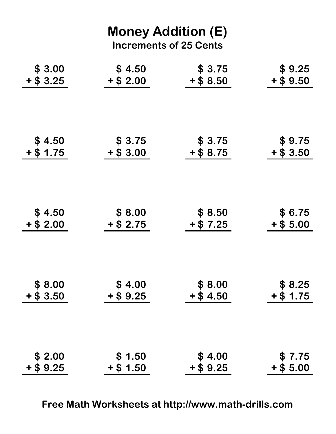| <b>Money Addition (E)</b><br><b>Increments of 25 Cents</b> |             |             |             |  |
|------------------------------------------------------------|-------------|-------------|-------------|--|
| \$3.00                                                     | \$4.50      | \$3.75      | \$9.25      |  |
| $+$ \$ 3.25                                                | $+$ \$ 2.00 | $+$ \$ 8.50 | $+$ \$9.50  |  |
| \$4.50                                                     | \$3.75      | \$3.75      | \$9.75      |  |
| $+$ \$ 1.75                                                | $+$ \$ 3.00 | $+$ \$ 8.75 | $+$ \$ 3.50 |  |
| \$4.50                                                     | \$8.00      | \$8.50      | \$6.75      |  |
| $+$ \$ 2.00                                                | $+$ \$ 2.75 | $+$ \$ 7.25 | $+$ \$ 5.00 |  |
| \$8.00                                                     | \$4.00      | \$8.00      | \$8.25      |  |
| $+$ \$ 3.50                                                | $+ $9.25$   | $+$ \$4.50  | $+ $ 1.75$  |  |
| \$2.00                                                     | \$1.50      | \$4.00      | \$7.75      |  |
| $+$ \$9.25                                                 | $+ $ 1.50$  | $+$ \$ 9.25 | $+$ \$ 5.00 |  |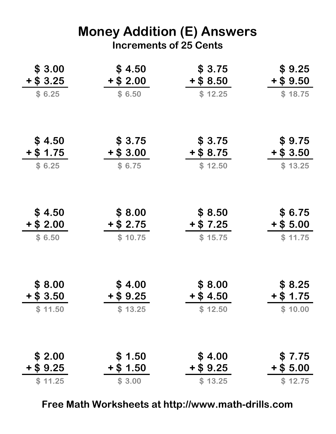# Money Addition (E) Answers Increments of 25 Cents

| \$3.00<br>$+$ \$ 3.25 | \$4.50<br>$+$ \$ 2.00 | \$3.75<br>$+$ \$ 8.50 | \$9.25<br>$+$ \$9.50   |
|-----------------------|-----------------------|-----------------------|------------------------|
| \$6.25                | \$6.50                | \$12.25               | \$18.75                |
| \$4.50                | \$3.75                | \$3.75                | \$9.75                 |
| $+$ \$ 1.75           | $+$ \$ 3.00           | $+$ \$ 8.75           | $+$ \$ 3.50            |
| \$6.25                | \$6.75                | \$12.50               | \$13.25                |
| \$4.50<br>$+$ \$ 2.00 | \$8.00<br>$+$ \$ 2.75 | \$8.50<br>$+$ \$ 7.25 | \$ 6.75<br>$+$ \$ 5.00 |
| \$6.50                | \$10.75               | \$15.75               | \$11.75                |
| \$8.00                | \$4.00                | \$8.00                | \$8.25                 |
| $+$ \$ 3.50           | $+$ \$ 9.25           | $+$ \$ 4.50           | $+$ \$ 1.75            |
| \$11.50               | \$13.25               | \$12.50               | \$10.00                |
| \$2.00                | \$1.50                | \$4.00                | \$7.75                 |
| $+$ \$ 9.25           | $+$ \$ 1.50           | $+$ \$ 9.25           | $+$ \$ 5.00            |
| \$11.25               | \$3.00                | \$13.25               | \$12.75                |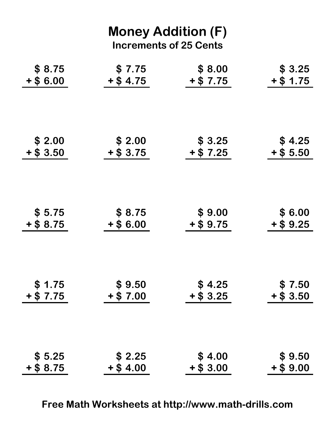| <b>Money Addition (F)</b><br><b>Increments of 25 Cents</b> |             |             |             |  |
|------------------------------------------------------------|-------------|-------------|-------------|--|
| \$8.75                                                     | \$7.75      | \$8.00      | \$3.25      |  |
| $+$ \$6.00                                                 | $+$ \$ 4.75 | $+$ \$ 7.75 | $+$ \$ 1.75 |  |
| \$2.00                                                     | \$2.00      | \$3.25      | \$4.25      |  |
| $+$ \$ 3.50                                                | $+$ \$ 3.75 | $+ $7.25$   | $+$ \$ 5.50 |  |
| \$5.75                                                     | \$8.75      | \$9.00      | \$ 6.00     |  |
| $+$ \$ 8.75                                                | $+ $6.00$   | $+$ \$ 9.75 | $+$ \$ 9.25 |  |
| \$1.75                                                     | \$9.50      | \$4.25      | \$7.50      |  |
| $+$ \$ 7.75                                                | $+$ \$ 7.00 | $+$ \$ 3.25 | $+$ \$ 3.50 |  |
| \$5.25                                                     | \$2.25      | \$4.00      | \$9.50      |  |
| $+$ \$ 8.75                                                | $+$ \$4.00  | $+$ \$ 3.00 | $+ $9.00$   |  |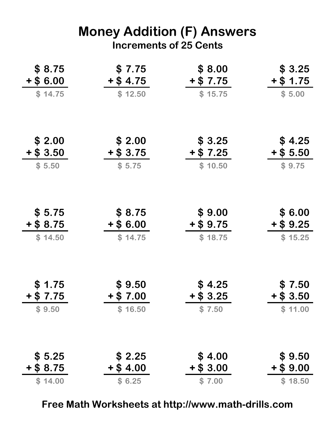#### Money Addition (F) Answers Increments of 25 Cents

| \$8.75<br>$+$ \$6.00 | \$7.75<br>$+$ \$ 4.75 | \$8.00<br>$+$ \$ 7.75 | \$3.25<br>$+$ \$ 1.75 |
|----------------------|-----------------------|-----------------------|-----------------------|
| \$14.75              | \$12.50               | \$15.75               | \$5.00                |
| \$2.00               | \$ 2.00               | \$3.25                | \$4.25                |
| $+ $3.50$            | $+$ \$ 3.75           | $+$ \$ 7.25           | $+$ \$ 5.50           |
| \$5.50               | \$5.75                | \$10.50               | \$9.75                |
| \$5.75<br>$+ $8.75$  | \$ 8.75<br>$+$ \$6.00 | \$9.00<br>$+$ \$9.75  | \$ 6.00<br>$+$ \$9.25 |
| \$14.50              | \$14.75               | \$18.75               | \$15.25               |
| \$1.75               | \$9.50                | \$4.25                | \$7.50                |
| $+$ \$ 7.75          | $+ $7.00$             | $+$ \$ 3.25           | $+$ \$ 3.50           |
| \$9.50               | \$16.50               | \$7.50                | \$11.00               |
| \$5.25               | \$2.25                | \$4.00                | \$9.50                |
| $+$ \$ 8.75          | $+$ \$4.00            | $+$ \$ 3.00           | $+$ \$9.00            |
| \$14.00              | \$6.25                | \$7.00                | \$18.50               |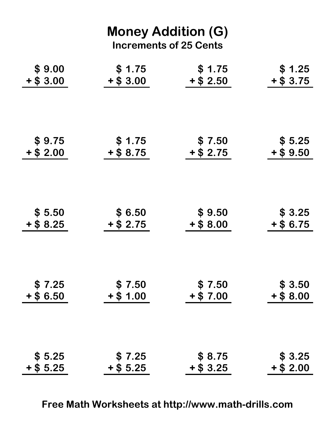| <b>Money Addition (G)</b><br><b>Increments of 25 Cents</b> |             |             |             |  |
|------------------------------------------------------------|-------------|-------------|-------------|--|
| \$9.00                                                     | \$1.75      | \$1.75      | \$1.25      |  |
| $+$ \$ 3.00                                                | $+$ \$ 3.00 | $+$ \$ 2.50 | $+ $3.75$   |  |
| \$9.75                                                     | \$1.75      | \$7.50      | \$5.25      |  |
| $+$ \$ 2.00                                                | $+$ \$ 8.75 | $+$ \$ 2.75 | $+ $9.50$   |  |
| \$5.50                                                     | \$6.50      | \$9.50      | \$3.25      |  |
| $+$ \$ 8.25                                                | $+ $2.75$   | $+$ \$ 8.00 | $+$ \$ 6.75 |  |
| \$7.25                                                     | \$7.50      | \$7.50      | \$3.50      |  |
| $+$ \$6.50                                                 | $+$ \$ 1.00 | $+$ \$ 7.00 | $+$ \$ 8.00 |  |
| \$5.25                                                     | \$7.25      | \$8.75      | \$3.25      |  |
| $+$ \$ 5.25                                                | $+$ \$ 5.25 | $+$ \$ 3.25 | $+$ \$ 2.00 |  |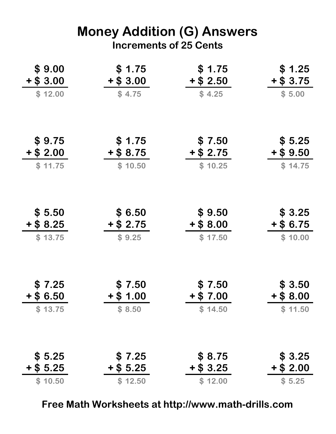## Money Addition (G) Answers Increments of 25 Cents

| \$9.00<br>$+$ \$ 3.00 | \$1.75<br>$+$ \$ 3.00  | \$1.75<br>$+$ \$ 2.50  | \$1.25<br>$+ $3.75$   |
|-----------------------|------------------------|------------------------|-----------------------|
| \$12.00               | \$4.75                 | \$4.25                 | \$5.00                |
| \$9.75                | \$1.75                 | \$7.50                 | \$5.25                |
| $+ $ 2.00$<br>\$11.75 | $+$ \$ 8.75<br>\$10.50 | $+$ \$ 2.75<br>\$10.25 | $+$ \$9.50            |
|                       |                        |                        | \$14.75               |
| \$5.50<br>$+$ \$ 8.25 | \$6.50<br>$+$ \$ 2.75  | \$9.50<br>$+$ \$ 8.00  | \$3.25<br>$+$ \$ 6.75 |
| \$13.75               | \$9.25                 | \$17.50                | \$10.00               |
| \$7.25                | \$7.50                 | \$7.50                 | \$3.50                |
| $+$ \$ 6.50           | $+$ \$ 1.00            | $+$ \$ 7.00            | $+$ \$ 8.00           |
| \$13.75               | \$8.50                 | \$14.50                | \$11.50               |
| \$5.25                | \$7.25                 | \$ 8.75                | \$3.25                |
| $+$ \$ 5.25           | $+$ \$ 5.25            | $+$ \$ 3.25            | $+$ \$ 2.00           |
| \$10.50               | \$12.50                | \$12.00                | \$5.25                |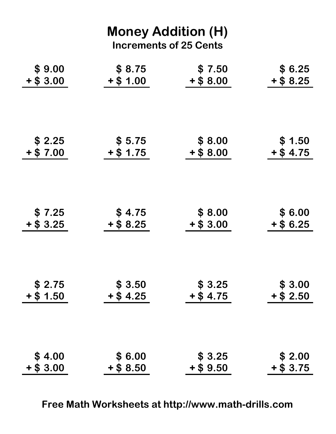| <b>Money Addition (H)</b><br><b>Increments of 25 Cents</b> |             |             |             |  |
|------------------------------------------------------------|-------------|-------------|-------------|--|
| \$9.00                                                     | \$8.75      | \$7.50      | \$6.25      |  |
| $+$ \$ 3.00                                                | $+$ \$ 1.00 | $+$ \$ 8.00 | $+$ \$ 8.25 |  |
| \$2.25                                                     | \$5.75      | \$8.00      | \$1.50      |  |
| $+ $7.00$                                                  | $+$ \$ 1.75 | $+$ \$ 8.00 | $+$ \$ 4.75 |  |
| \$7.25                                                     | \$4.75      | \$8.00      | \$6.00      |  |
| $+$ \$ 3.25                                                | $+$ \$ 8.25 | $+$ \$ 3.00 | $+$ \$ 6.25 |  |
| \$2.75                                                     | \$3.50      | \$3.25      | \$3.00      |  |
| $+$ \$ 1.50                                                | $+$ \$4.25  | $+ $4.75$   | $+$ \$ 2.50 |  |
| \$4.00                                                     | \$6.00      | \$3.25      | \$2.00      |  |
| $+$ \$ 3.00                                                | $+$ \$ 8.50 | $+$ \$ 9.50 | $+ $3.75$   |  |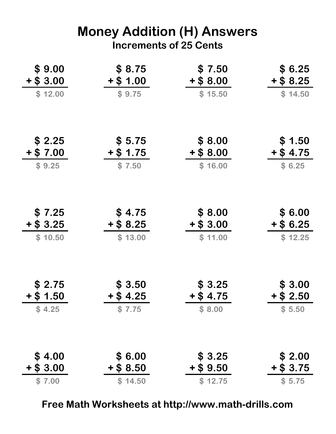## Money Addition (H) Answers Increments of 25 Cents

| \$9.00<br>$+ $3.00$   | \$8.75<br>$+$ \$ 1.00 | \$7.50<br>$+$ \$ 8.00 | \$6.25<br>$+$ \$ 8.25 |
|-----------------------|-----------------------|-----------------------|-----------------------|
| \$12.00               | \$9.75                | \$15.50               | \$14.50               |
| \$2.25                | \$5.75                | \$8.00                | \$1.50                |
| $+ $7.00$             | $+$ \$ 1.75           | $+$ \$ 8.00           | $+$ \$ 4.75           |
| \$9.25                | \$7.50                | \$16.00               | \$6.25                |
| \$7.25<br>$+$ \$ 3.25 | \$4.75<br>$+$ \$ 8.25 | \$8.00<br>$+$ \$ 3.00 | \$6.00<br>$+$ \$6.25  |
| \$10.50               | \$13.00               | \$11.00               | \$12.25               |
| \$2.75                | \$3.50                | \$3.25                | \$3.00                |
| $+$ \$ 1.50           | $+$ \$ 4.25           | $+$ \$ 4.75           | $+$ \$ 2.50           |
| \$4.25                | \$7.75                | \$8.00                | \$5.50                |
| \$4.00                | \$6.00                | \$3.25                | \$2.00                |
| $+$ \$ 3.00           | $+$ \$ 8.50           | $+$ \$ 9.50           | $+$ \$ 3.75           |
| \$7.00                | \$14.50               | \$12.75               | \$5.75                |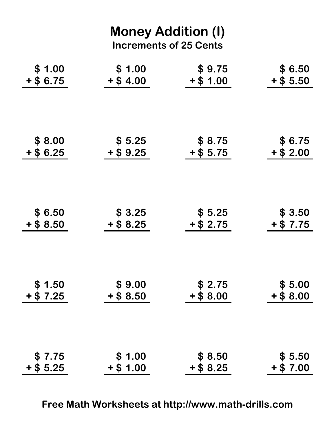| <b>Money Addition (I)</b><br><b>Increments of 25 Cents</b> |             |             |             |  |
|------------------------------------------------------------|-------------|-------------|-------------|--|
| \$1.00                                                     | \$1.00      | \$9.75      | \$ 6.50     |  |
| $+$ \$ 6.75                                                | $+$ \$4.00  | $+$ \$ 1.00 | $+$ \$ 5.50 |  |
| \$8.00                                                     | \$5.25      | \$ 8.75     | \$ 6.75     |  |
| $+$ \$6.25                                                 | $+$ \$ 9.25 | $+$ \$ 5.75 | $+$ \$ 2.00 |  |
| \$ 6.50                                                    | \$3.25      | \$5.25      | \$ 3.50     |  |
| $+$ \$ 8.50                                                | $+$ \$ 8.25 | $+$ \$ 2.75 | $+ $7.75$   |  |
| \$1.50                                                     | \$9.00      | \$2.75      | \$5.00      |  |
| $+$ \$ 7.25                                                | $+$ \$ 8.50 | $+$ \$ 8.00 | $+$ \$ 8.00 |  |
| \$7.75                                                     | \$1.00      | \$8.50      | \$5.50      |  |
| $+$ \$ 5.25                                                | $+$ \$ 1.00 | $+$ \$ 8.25 | $+$ \$ 7.00 |  |

Free Math Worksheets at http://www.math-drills.com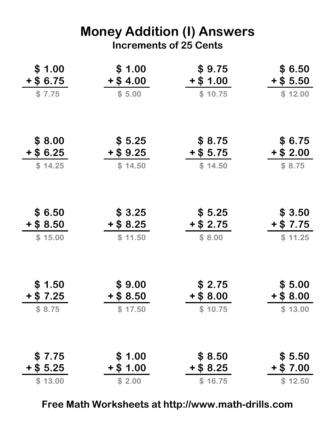## Money Addition (I) Answers Increments of 25 Cents

| \$1.00<br>$+$ \$ 6.75  | \$1.00<br>$+$ \$4.00   | \$9.75<br>$+$ \$ 1.00  | \$6.50<br>$+$ \$ 5.50  |
|------------------------|------------------------|------------------------|------------------------|
| \$7.75                 | \$5.00                 | \$10.75                | \$12.00                |
| \$8.00                 | \$5.25                 | \$8.75                 | \$ 6.75                |
| $+$ \$6.25<br>\$14.25  | $+$ \$ 9.25<br>\$14.50 | $+$ \$ 5.75<br>\$14.50 | $+$ \$ 2.00<br>\$8.75  |
| \$6.50                 | \$3.25                 | \$5.25                 | \$3.50                 |
| $+$ \$ 8.50            | $+$ \$ 8.25            | $+$ \$ 2.75            | $+$ \$ 7.75            |
| \$15.00                | \$11.50                | \$8.00                 | \$11.25                |
| \$1.50                 | \$9.00                 | \$2.75                 | \$5.00                 |
| $+$ \$ 7.25            | $+$ \$ 8.50            | $+$ \$ 8.00            | $+$ \$ 8.00            |
| \$8.75                 | \$17.50                | \$10.75                | \$13.00                |
| \$7.75                 | \$1.00                 | \$8.50                 | \$5.50                 |
| $+$ \$ 5.25<br>\$13.00 | $+$ \$ 1.00<br>\$2.00  | $+$ \$ 8.25<br>\$16.75 | $+$ \$ 7.00<br>\$12.50 |
|                        |                        |                        |                        |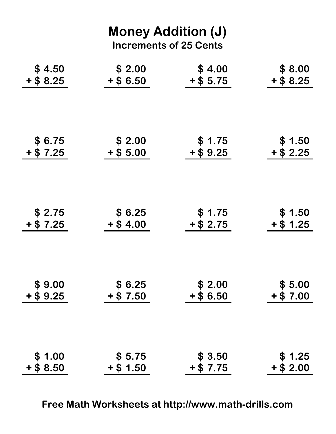| <b>Money Addition (J)</b><br><b>Increments of 25 Cents</b> |             |             |             |  |
|------------------------------------------------------------|-------------|-------------|-------------|--|
| \$4.50                                                     | \$2.00      | \$4.00      | \$8.00      |  |
| $+$ \$ 8.25                                                | $+$ \$6.50  | $+$ \$ 5.75 | $+$ \$ 8.25 |  |
| \$ 6.75                                                    | \$2.00      | \$1.75      | \$1.50      |  |
| $+ $7.25$                                                  | $+$ \$ 5.00 | $+$ \$ 9.25 | $+$ \$ 2.25 |  |
| \$ 2.75                                                    | \$6.25      | \$1.75      | \$ 1.50     |  |
| $+ $7.25$                                                  | $+$ \$ 4.00 | $+$ \$ 2.75 | $+$ \$ 1.25 |  |
| \$9.00                                                     | \$6.25      | \$2.00      | \$5.00      |  |
| $+$ \$9.25                                                 | $+$ \$ 7.50 | $+$ \$6.50  | $+ $7.00$   |  |
| \$1.00                                                     | \$5.75      | \$3.50      | \$1.25      |  |
| $+$ \$ 8.50                                                | $+$ \$ 1.50 | $+ $7.75$   | $+$ \$ 2.00 |  |